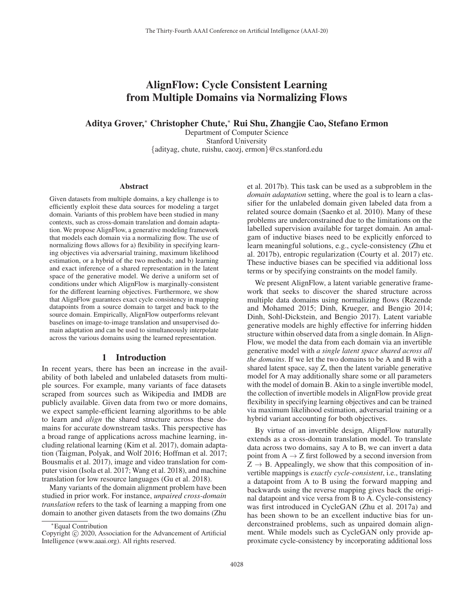# AlignFlow: Cycle Consistent Learning from Multiple Domains via Normalizing Flows

# Aditya Grover,<sup>∗</sup> Christopher Chute,<sup>∗</sup> Rui Shu, Zhangjie Cao, Stefano Ermon

Department of Computer Science Stanford University {adityag, chute, ruishu, caozj, ermon}@cs.stanford.edu

#### Abstract

Given datasets from multiple domains, a key challenge is to efficiently exploit these data sources for modeling a target domain. Variants of this problem have been studied in many contexts, such as cross-domain translation and domain adaptation. We propose AlignFlow, a generative modeling framework that models each domain via a normalizing flow. The use of normalizing flows allows for a) flexibility in specifying learning objectives via adversarial training, maximum likelihood estimation, or a hybrid of the two methods; and b) learning and exact inference of a shared representation in the latent space of the generative model. We derive a uniform set of conditions under which AlignFlow is marginally-consistent for the different learning objectives. Furthermore, we show that AlignFlow guarantees exact cycle consistency in mapping datapoints from a source domain to target and back to the source domain. Empirically, AlignFlow outperforms relevant baselines on image-to-image translation and unsupervised domain adaptation and can be used to simultaneously interpolate across the various domains using the learned representation.

## 1 Introduction

In recent years, there has been an increase in the availability of both labeled and unlabeled datasets from multiple sources. For example, many variants of face datasets scraped from sources such as Wikipedia and IMDB are publicly available. Given data from two or more domains, we expect sample-efficient learning algorithms to be able to learn and *align* the shared structure across these domains for accurate downstream tasks. This perspective has a broad range of applications across machine learning, including relational learning (Kim et al. 2017), domain adaptation (Taigman, Polyak, and Wolf 2016; Hoffman et al. 2017; Bousmalis et al. 2017), image and video translation for computer vision (Isola et al. 2017; Wang et al. 2018), and machine translation for low resource languages (Gu et al. 2018).

Many variants of the domain alignment problem have been studied in prior work. For instance, *unpaired cross-domain translation* refers to the task of learning a mapping from one domain to another given datasets from the two domains (Zhu et al. 2017b). This task can be used as a subproblem in the *domain adaptation* setting, where the goal is to learn a classifier for the unlabeled domain given labeled data from a related source domain (Saenko et al. 2010). Many of these problems are underconstrained due to the limitations on the labelled supervision available for target domain. An amalgam of inductive biases need to be explicitly enforced to learn meaningful solutions, e.g., cycle-consistency (Zhu et al. 2017b), entropic regularization (Courty et al. 2017) etc. These inductive biases can be specified via additional loss terms or by specifying constraints on the model family.

We present AlignFlow, a latent variable generative framework that seeks to discover the shared structure across multiple data domains using normalizing flows (Rezende and Mohamed 2015; Dinh, Krueger, and Bengio 2014; Dinh, Sohl-Dickstein, and Bengio 2017). Latent variable generative models are highly effective for inferring hidden structure within observed data from a single domain. In Align-Flow, we model the data from each domain via an invertible generative model with *a single latent space shared across all the domains*. If we let the two domains to be A and B with a shared latent space, say Z, then the latent variable generative model for A may additionally share some or all parameters with the model of domain B. Akin to a single invertible model, the collection of invertible models in AlignFlow provide great flexibility in specifying learning objectives and can be trained via maximum likelihood estimation, adversarial training or a hybrid variant accounting for both objectives.

By virtue of an invertible design, AlignFlow naturally extends as a cross-domain translation model. To translate data across two domains, say A to B, we can invert a data point from  $A \rightarrow Z$  first followed by a second inversion from  $Z \rightarrow B$ . Appealingly, we show that this composition of invertible mappings is *exactly cycle-consistent*, i.e., translating a datapoint from A to B using the forward mapping and backwards using the reverse mapping gives back the original datapoint and vice versa from B to A. Cycle-consistency was first introduced in CycleGAN (Zhu et al. 2017a) and has been shown to be an excellent inductive bias for underconstrained problems, such as unpaired domain alignment. While models such as CycleGAN only provide approximate cycle-consistency by incorporating additional loss

<sup>∗</sup>Equal Contribution

Copyright  $\odot$  2020, Association for the Advancement of Artificial Intelligence (www.aaai.org). All rights reserved.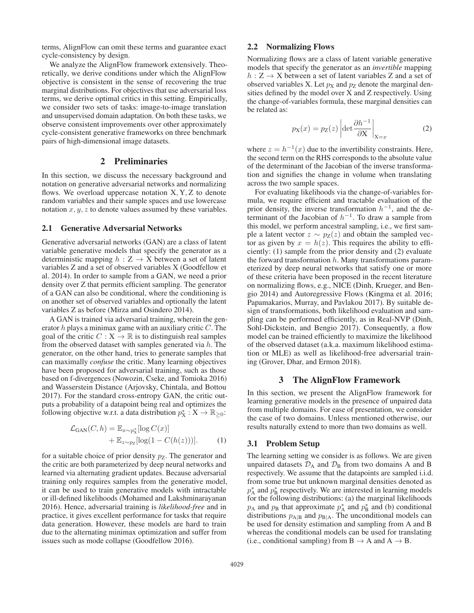terms, AlignFlow can omit these terms and guarantee exact cycle-consistency by design.

We analyze the AlignFlow framework extensively. Theoretically, we derive conditions under which the AlignFlow objective is consistent in the sense of recovering the true marginal distributions. For objectives that use adversarial loss terms, we derive optimal critics in this setting. Empirically, we consider two sets of tasks: image-to-image translation and unsupervised domain adaptation. On both these tasks, we observe consistent improvements over other approximately cycle-consistent generative frameworks on three benchmark pairs of high-dimensional image datasets.

# 2 Preliminaries

In this section, we discuss the necessary background and notation on generative adversarial networks and normalizing flows. We overload uppercase notation  $X, Y, Z$  to denote random variables and their sample spaces and use lowercase notation  $x, y, z$  to denote values assumed by these variables.

#### 2.1 Generative Adversarial Networks

Generative adversarial networks (GAN) are a class of latent variable generative models that specify the generator as a deterministic mapping  $h : Z \to X$  between a set of latent variables Z and a set of observed variables X (Goodfellow et al. 2014). In order to sample from a GAN, we need a prior density over Z that permits efficient sampling. The generator of a GAN can also be conditional, where the conditioning is on another set of observed variables and optionally the latent variables Z as before (Mirza and Osindero 2014).

A GAN is trained via adversarial training, wherein the generator  $h$  plays a minimax game with an auxiliary critic  $C$ . The goal of the critic  $C : X \to \mathbb{R}$  is to distinguish real samples from the observed dataset with samples generated via  $h$ . The generator, on the other hand, tries to generate samples that can maximally *confuse* the critic. Many learning objectives have been proposed for adversarial training, such as those based on f-divergences (Nowozin, Cseke, and Tomioka 2016) and Wasserstein Distance (Arjovsky, Chintala, and Bottou 2017). For the standard cross-entropy GAN, the critic outputs a probability of a datapoint being real and optimizes the following objective w.r.t. a data distribution  $p_X^*: X \to \mathbb{R}_{\geq 0}$ :

$$
\mathcal{L}_{\text{GAN}}(C, h) = \mathbb{E}_{x \sim p_X^*}[\log C(x)] + \mathbb{E}_{z \sim p_Z}[\log(1 - C(h(z)))].
$$
 (1)

for a suitable choice of prior density  $p<sub>Z</sub>$ . The generator and the critic are both parameterized by deep neural networks and learned via alternating gradient updates. Because adversarial training only requires samples from the generative model, it can be used to train generative models with intractable or ill-defined likelihoods (Mohamed and Lakshminarayanan 2016). Hence, adversarial training is *likelihood-free* and in practice, it gives excellent performance for tasks that require data generation. However, these models are hard to train due to the alternating minimax optimization and suffer from issues such as mode collapse (Goodfellow 2016).

## 2.2 Normalizing Flows

Normalizing flows are a class of latent variable generative models that specify the generator as an *invertible* mapping  $h: Z \to X$  between a set of latent variables Z and a set of observed variables X. Let  $p<sub>X</sub>$  and  $p<sub>Z</sub>$  denote the marginal densities defined by the model over X and Z respectively. Using the change-of-variables formula, these marginal densities can be related as:

$$
p_X(x) = p_Z(z) \left| \det \frac{\partial h^{-1}}{\partial X} \right|_{X=x} \tag{2}
$$

where  $z = h^{-1}(x)$  due to the invertibility constraints. Here, the second term on the RHS corresponds to the absolute value of the determinant of the Jacobian of the inverse transformation and signifies the change in volume when translating across the two sample spaces.

For evaluating likelihoods via the change-of-variables formula, we require efficient and tractable evaluation of the prior density, the inverse transformation  $h^{-1}$ , and the determinant of the Jacobian of  $h^{-1}$ . To draw a sample from this model, we perform ancestral sampling, i.e., we first sample a latent vector  $z \sim p_Z(z)$  and obtain the sampled vector as given by  $x = h(z)$ . This requires the ability to efficiently: (1) sample from the prior density and (2) evaluate the forward transformation  $h$ . Many transformations parameterized by deep neural networks that satisfy one or more of these criteria have been proposed in the recent literature on normalizing flows, e.g., NICE (Dinh, Krueger, and Bengio 2014) and Autoregressive Flows (Kingma et al. 2016; Papamakarios, Murray, and Pavlakou 2017). By suitable design of transformations, both likelihood evaluation and sampling can be performed efficiently, as in Real-NVP (Dinh, Sohl-Dickstein, and Bengio 2017). Consequently, a flow model can be trained efficiently to maximize the likelihood of the observed dataset (a.k.a. maximum likelihood estimation or MLE) as well as likelihood-free adversarial training (Grover, Dhar, and Ermon 2018).

## 3 The AlignFlow Framework

In this section, we present the AlignFlow framework for learning generative models in the presence of unpaired data from multiple domains. For ease of presentation, we consider the case of two domains. Unless mentioned otherwise, our results naturally extend to more than two domains as well.

#### 3.1 Problem Setup

The learning setting we consider is as follows. We are given unpaired datasets  $\mathcal{D}_A$  and  $\mathcal{D}_B$  from two domains A and B respectively. We assume that the datapoints are sampled i.i.d. from some true but unknown marginal densities denoted as  $p_A^*$  and  $p_B^*$  respectively. We are interested in learning models for the following distributions: (a) the marginal likelihoods  $p_A$  and  $p_B$  that approximate  $p_A^*$  and  $p_B^*$  and (b) conditional distributions  $p_{A|B}$  and  $p_{B|A}$ . The unconditional models can be used for density estimation and sampling from A and B whereas the conditional models can be used for translating (i.e., conditional sampling) from  $B \to A$  and  $A \to B$ .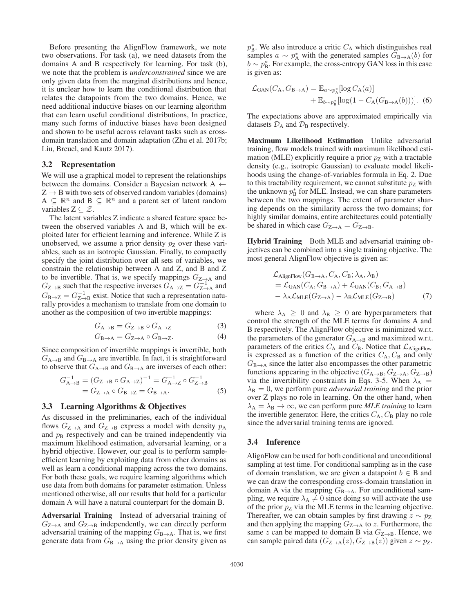Before presenting the AlignFlow framework, we note two observations. For task (a), we need datasets from the domains A and B respectively for learning. For task (b), we note that the problem is *underconstrained* since we are only given data from the marginal distributions and hence, it is unclear how to learn the conditional distribution that relates the datapoints from the two domains. Hence, we need additional inductive biases on our learning algorithm that can learn useful conditional distributions, In practice, many such forms of inductive biases have been designed and shown to be useful across relavant tasks such as crossdomain translation and domain adaptation (Zhu et al. 2017b; Liu, Breuel, and Kautz 2017).

#### 3.2 Representation

We will use a graphical model to represent the relationships between the domains. Consider a Bayesian network A  $\leftarrow$  $Z \rightarrow B$  with two sets of observed random variables (domains)  $A \subseteq \mathbb{R}^n$  and  $B \subseteq \mathbb{R}^n$  and a parent set of latent random variables  $Z \subset \mathcal{Z}$ .

The latent variables Z indicate a shared feature space between the observed variables A and B, which will be exploited later for efficient learning and inference. While Z is unobserved, we assume a prior density  $p_Z$  over these variables, such as an isotropic Gaussian. Finally, to compactly specify the joint distribution over all sets of variables, we constrain the relationship between A and Z, and B and Z to be invertible. That is, we specify mappings  $G_{Z\rightarrow A}$  and  $G_{Z\rightarrow B}$  such that the respective inverses  $G_{A\rightarrow Z} = G_{Z\rightarrow A}^{-1}$  and  $G_{\text{B}\rightarrow\text{Z}} = G_{\text{Z}\rightarrow\text{B}}^{-1}$  exist. Notice that such a representation naturally provides a mechanism to translate from one domain to another as the composition of two invertible mappings:

$$
G_{A \to B} = G_{Z \to B} \circ G_{A \to Z} \tag{3}
$$

$$
G_{\mathbf{B}\to\mathbf{A}} = G_{\mathbf{Z}\to\mathbf{A}} \circ G_{\mathbf{B}\to\mathbf{Z}}.\tag{4}
$$

Since composition of invertible mappings is invertible, both  $G_{A\rightarrow B}$  and  $G_{B\rightarrow A}$  are invertible. In fact, it is straightforward to observe that  $G_{A\rightarrow B}$  and  $G_{B\rightarrow A}$  are inverses of each other:

$$
G_{\mathbf{A}\to\mathbf{B}}^{-1} = (G_{\mathbf{Z}\to\mathbf{B}} \circ G_{\mathbf{A}\to\mathbf{Z}})^{-1} = G_{\mathbf{A}\to\mathbf{Z}}^{-1} \circ G_{\mathbf{Z}\to\mathbf{B}}^{-1}
$$
  
=  $G_{\mathbf{Z}\to\mathbf{A}} \circ G_{\mathbf{B}\to\mathbf{Z}} = G_{\mathbf{B}\to\mathbf{A}}.$  (5)

## 3.3 Learning Algorithms & Objectives

As discussed in the preliminaries, each of the individual flows  $G_{Z\rightarrow A}$  and  $G_{Z\rightarrow B}$  express a model with density  $p_A$ and  $p<sub>B</sub>$  respectively and can be trained independently via maximum likelihood estimation, adversarial learning, or a hybrid objective. However, our goal is to perform sampleefficient learning by exploiting data from other domains as well as learn a conditional mapping across the two domains. For both these goals, we require learning algorithms which use data from both domains for parameter estimation. Unless mentioned otherwise, all our results that hold for a particular domain A will have a natural counterpart for the domain B.

Adversarial Training Instead of adversarial training of  $G_{\text{Z}\rightarrow\text{A}}$  and  $G_{\text{Z}\rightarrow\text{B}}$  independently, we can directly perform adversarial training of the mapping  $G_{\text{B}\rightarrow\text{A}}$ . That is, we first generate data from  $G_{\text{B}\rightarrow\text{A}}$  using the prior density given as

 $p_{\rm B}^*$ . We also introduce a critic  $C_{\rm A}$  which distinguishes real samples  $a \sim p_A^*$  with the generated samples  $G_{B\to A}(b)$  for  $b \sim p_{\rm B}^*$ . For example, the cross-entropy GAN loss in this case is given as:

$$
\mathcal{L}_{GAN}(C_A, G_{B\to A}) = \mathbb{E}_{a \sim p_A^*}[\log C_A(a)] + \mathbb{E}_{b \sim p_B^*}[\log(1 - C_A(G_{B\to A}(b)))].
$$
 (6)

The expectations above are approximated empirically via datasets  $\mathcal{D}_A$  and  $\mathcal{D}_B$  respectively.

Maximum Likelihood Estimation Unlike adversarial training, flow models trained with maximum likelihood estimation (MLE) explicitly require a prior  $p_Z$  with a tractable density (e.g., isotropic Gaussian) to evaluate model likelihoods using the change-of-variables formula in Eq. 2. Due to this tractability requirement, we cannot substitute  $p<sub>Z</sub>$  with the unknown  $p_B^*$  for MLE. Instead, we can share parameters between the two mappings. The extent of parameter sharing depends on the similarity across the two domains; for highly similar domains, entire architectures could potentially be shared in which case  $G_{\text{Z}\rightarrow\text{A}} = G_{\text{Z}\rightarrow\text{B}}$ .

Hybrid Training Both MLE and adversarial training objectives can be combined into a single training objective. The most general AlignFlow objective is given as:

$$
\mathcal{L}_{\text{AlignFlow}}(G_{\text{B}\to\text{A}}, C_{\text{A}}, C_{\text{B}}; \lambda_{\text{A}}, \lambda_{\text{B}})
$$
\n
$$
= \mathcal{L}_{\text{GAN}}(C_{\text{A}}, G_{\text{B}\to\text{A}}) + \mathcal{L}_{\text{GAN}}(C_{\text{B}}, G_{\text{A}\to\text{B}})
$$
\n
$$
- \lambda_{\text{A}} \mathcal{L}_{\text{MLE}}(G_{\text{Z}\to\text{A}}) - \lambda_{\text{B}} \mathcal{L}_{\text{MLE}}(G_{\text{Z}\to\text{B}})
$$
\n(7)

where  $\lambda_A \geq 0$  and  $\lambda_B \geq 0$  are hyperparameters that control the strength of the MLE terms for domains A and B respectively. The AlignFlow objective is minimized w.r.t. the parameters of the generator  $G_{A\rightarrow B}$  and maximized w.r.t. parameters of the critics  $C_A$  and  $C_B$ . Notice that  $\mathcal{L}_{\text{AlignFlow}}$ is expressed as a function of the critics  $C_A$ ,  $C_B$  and only  $G_{\text{B}\rightarrow\text{A}}$  since the latter also encompasses the other parametric functions appearing in the objective  $(G_{A\rightarrow B}, G_{Z\rightarrow A}, G_{Z\rightarrow B})$ via the invertibility constraints in Eqs. 3-5. When  $\lambda_A$  =  $\lambda_B = 0$ , we perform pure *adverarial training* and the prior over Z plays no role in learning. On the other hand, when  $\lambda_A = \lambda_B \rightarrow \infty$ , we can perform pure *MLE training* to learn the invertible generator. Here, the critics  $C_A$ ,  $C_B$  play no role since the adversarial training terms are ignored.

## 3.4 Inference

AlignFlow can be used for both conditional and unconditional sampling at test time. For conditional sampling as in the case of domain translation, we are given a datapoint  $b \in B$  and we can draw the corresponding cross-domain translation in domain A via the mapping  $G_{\text{B}\rightarrow\text{A}}$ . For unconditional sampling, we require  $\lambda_A \neq 0$  since doing so will activate the use of the prior  $p_Z$  via the MLE terms in the learning objective. Thereafter, we can obtain samples by first drawing  $z \sim p_Z$ and then applying the mapping  $G_{Z\rightarrow A}$  to z. Furthermore, the same z can be mapped to domain B via  $G_{\text{Z}\rightarrow\text{B}}$ . Hence, we can sample paired data  $(G_{\mathbb{Z}\rightarrow \mathbb{A}}(z), G_{\mathbb{Z}\rightarrow \mathbb{B}}(z))$  given  $z \sim p_{\mathbb{Z}}$ .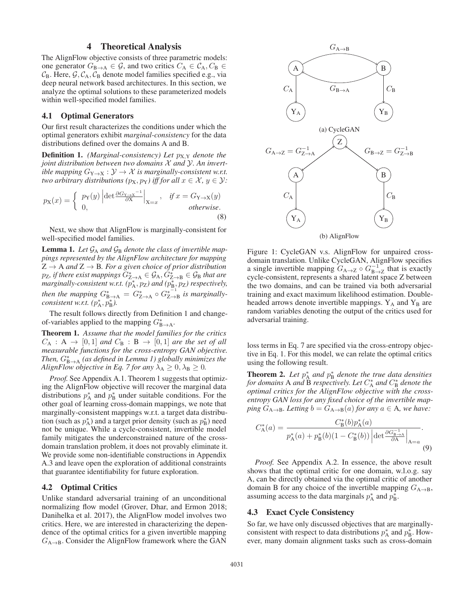# 4 Theoretical Analysis

The AlignFlow objective consists of three parametric models: one generator  $G_{\mathbf{B}\to\mathbf{A}} \in \mathcal{G}$ , and two critics  $C_{\mathbf{A}} \in \mathcal{C}_{\mathbf{A}}$ ,  $C_{\mathbf{B}} \in$  $C_{\rm B}$ . Here,  $\mathcal{G}, \mathcal{C}_{\rm A}, \mathcal{C}_{\rm B}$  denote model families specified e.g., via deep neural network based architectures. In this section, we analyze the optimal solutions to these parameterized models within well-specified model families.

#### 4.1 Optimal Generators

Our first result characterizes the conditions under which the optimal generators exhibit *marginal-consistency* for the data distributions defined over the domains A and B.

**Definition 1.** *(Marginal-consistency) Let*  $p_{X,Y}$  *denote the joint distribution between two domains* X *and* Y*. An invertible mapping*  $G_{Y\to X}: Y \to X$  *is marginally-consistent w.r.t. two arbitrary distributions (* $p_X, p_Y$ *) iff for all*  $x \in \mathcal{X}, y \in \mathcal{Y}$ *:* 

$$
p_{\mathbf{X}}(x) = \begin{cases} p_{\mathbf{Y}}(y) \left| \det \frac{\partial G_{\mathbf{Y} \to \mathbf{X}}^{-1}}{\partial \mathbf{X}} \right|_{\mathbf{X} = x}, & \text{if } x = G_{\mathbf{Y} \to \mathbf{X}}(y) \\ 0, & \text{otherwise.} \end{cases}
$$
(8)

Next, we show that AlignFlow is marginally-consistent for well-specified model families.

**Lemma 1.** Let  $\mathcal{G}_A$  and  $\mathcal{G}_B$  denote the class of invertible map*pings represented by the AlignFlow architecture for mapping*  $Z \rightarrow A$  *and*  $Z \rightarrow B$ *. For a given choice of prior distribution* p<sub>Z</sub>, if there exist mappings  $G^*_{Z\rightarrow A} \in \mathcal{G}_A, G^*_{Z\rightarrow B} \in \mathcal{G}_B$  that are marginally-consistent w.r.t. ( $p_A^*$ ,  $p_Z$ ) and ( $p_B^*$ ,  $p_Z$ ) respectively, *then the mapping*  $G_{\text{max}}^* = G_{\text{max}}^* \circ G_{\text{max}}^{*^{-1}}$  *is marginally* $consistent$  *w.r.t.*  $(p_{\rm A}^*, p_{\rm B}^*).$ 

The result follows directly from Definition 1 and changeof-variables applied to the mapping  $G_{\text{B}\rightarrow\text{A}}^*$ .

Theorem 1. *Assume that the model families for the critics*  $C_A : A \rightarrow [0,1]$  and  $C_B : B \rightarrow [0,1]$  are the set of all *measurable functions for the cross-entropy GAN objective. Then,*  $G_{\text{B}\rightarrow\text{A}}^{*}$  *(as defined in Lemma 1) globally minimizes the AlignFlow objective in Eq. 7 for any*  $\lambda_A \geq 0$ ,  $\lambda_B \geq 0$ .

*Proof.* See Appendix A.1. Theorem 1 suggests that optimizing the AlignFlow objective will recover the marginal data distributions  $p_A^*$  and  $p_B^*$  under suitable conditions. For the other goal of learning cross-domain mappings, we note that marginally-consistent mappings w.r.t. a target data distribution (such as  $p_A^*$ ) and a target prior density (such as  $p_B^*$ ) need not be unique. While a cycle-consistent, invertible model family mitigates the underconstrained nature of the crossdomain translation problem, it does not provably eliminate it. We provide some non-identifiable constructions in Appendix A.3 and leave open the exploration of additional constraints that guarantee identifiability for future exploration.

#### 4.2 Optimal Critics

Unlike standard adversarial training of an unconditional normalizing flow model (Grover, Dhar, and Ermon 2018; Danihelka et al. 2017), the AlignFlow model involves two critics. Here, we are interested in characterizing the dependence of the optimal critics for a given invertible mapping  $G_{A\rightarrow B}$ . Consider the AlignFlow framework where the GAN



Figure 1: CycleGAN v.s. AlignFlow for unpaired crossdomain translation. Unlike CycleGAN, AlignFlow specifies a single invertible mapping  $G_{A\rightarrow Z} \circ G_{B\rightarrow Z}^{-1}$  that is exactly cycle-consistent, represents a shared latent space Z between the two domains, and can be trained via both adversarial training and exact maximum likelihood estimation. Doubleheaded arrows denote invertible mappings.  $Y_A$  and  $Y_B$  are random variables denoting the output of the critics used for adversarial training.

loss terms in Eq. 7 are specified via the cross-entropy objective in Eq. 1. For this model, we can relate the optimal critics using the following result.

**Theorem 2.** Let  $p_A^*$  and  $p_B^*$  denote the true data densities *for domains* A *and* B *respectively. Let* C<sup>∗</sup> <sup>A</sup> *and* C<sup>∗</sup> <sup>B</sup> *denote the optimal critics for the AlignFlow objective with the crossentropy GAN loss for any fixed choice of the invertible mapping*  $G_{A\rightarrow B}$ *. Letting*  $b = G_{A\rightarrow B}(a)$  *for any*  $a \in A$ *, we have:* 

$$
C_{\mathcal{A}}^{*}(a) = \frac{C_{\mathcal{B}}^{*}(b)p_{\mathcal{A}}^{*}(a)}{p_{\mathcal{A}}^{*}(a) + p_{\mathcal{B}}^{*}(b)(1 - C_{\mathcal{B}}^{*}(b)) \left| \det \frac{\partial G_{\mathcal{B} \to \mathcal{A}}^{-1}}{\partial \mathcal{A}} \right|_{\mathcal{A} = a}}.
$$
\n(9)

*Proof.* See Appendix A.2. In essence, the above result shows that the optimal critic for one domain, w.l.o.g. say A, can be directly obtained via the optimal critic of another domain B for any choice of the invertible mapping  $G_{A\rightarrow B}$ , assuming access to the data marginals  $p_A^*$  and  $p_B^*$ .

#### 4.3 Exact Cycle Consistency

So far, we have only discussed objectives that are marginallyconsistent with respect to data distributions  $p_A^*$  and  $p_B^*$ . However, many domain alignment tasks such as cross-domain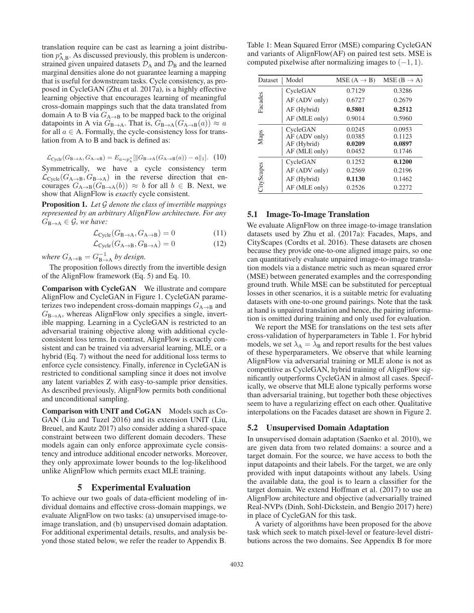translation require can be cast as learning a joint distribution  $p_{A,B}^*$ . As discussed previously, this problem is underconstrained given unpaired datasets  $\mathcal{D}_A$  and  $\mathcal{D}_B$  and the learned marginal densities alone do not guarantee learning a mapping that is useful for downstream tasks. Cycle consistency, as proposed in CycleGAN (Zhu et al. 2017a), is a highly effective learning objective that encourages learning of meaningful cross-domain mappings such that the data translated from domain A to B via  $G_{A\rightarrow B}$  to be mapped back to the original datapoints in A via  $G_{\text{B}\rightarrow\text{A}}$ . That is,  $G_{\text{B}\rightarrow\text{A}}(G_{\text{A}\rightarrow\text{B}}(a)) \approx a$ for all  $a \in A$ . Formally, the cycle-consistency loss for translation from A to B and back is defined as:

$$
\mathcal{L}_{\text{Cycle}}(G_{\text{B}\to\text{A}}, G_{\text{A}\to\text{B}}) = E_{a \sim p_{\text{A}}^*}[\|G_{\text{B}\to\text{A}}(G_{\text{A}\to\text{B}}(a)) - a\|_1]. \tag{10}
$$

Symmetrically, we have a cycle consistency term  $\mathcal{L}_{\text{Cycle}}(G_{A\rightarrow B}, G_{B\rightarrow A})$  in the reverse direction that encourages  $G_{A\to B}(G_{B\to A}(b)) \approx b$  for all  $b \in B$ . Next, we show that AlignFlow is *exactly* cycle consistent.

Proposition 1. *Let* G *denote the class of invertible mappings represented by an arbitrary AlignFlow architecture. For any*  $G_{\text{B}\rightarrow\text{A}} \in \mathcal{G}$ *, we have:* 

$$
\mathcal{L}_{\text{Cycle}}(G_{\mathbf{B}\to\mathbf{A}}, G_{\mathbf{A}\to\mathbf{B}}) = 0 \tag{11}
$$

$$
\mathcal{L}_{\text{Cycle}}(G_{\text{A}\to\text{B}}, G_{\text{B}\to\text{A}}) = 0 \tag{12}
$$

*where*  $G_{A\rightarrow B} = G_{B\rightarrow A}^{-1}$  *by design.* 

The proposition follows directly from the invertible design of the AlignFlow framework (Eq. 5) and Eq. 10.

Comparison with CycleGAN We illustrate and compare AlignFlow and CycleGAN in Figure 1. CycleGAN parameterizes two independent cross-domain mappings  $G_{A\rightarrow B}$  and  $G_{\text{B}\rightarrow\text{A}}$ , whereas AlignFlow only specifies a single, invertible mapping. Learning in a CycleGAN is restricted to an adversarial training objective along with additional cycleconsistent loss terms. In contrast, AlignFlow is exactly consistent and can be trained via adversarial learning, MLE, or a hybrid (Eq. 7) without the need for additional loss terms to enforce cycle consistency. Finally, inference in CycleGAN is restricted to conditional sampling since it does not involve any latent variables Z with easy-to-sample prior densities. As described previously, AlignFlow permits both conditional and unconditional sampling.

Comparison with UNIT and CoGAN Models such as Co-GAN (Liu and Tuzel 2016) and its extension UNIT (Liu, Breuel, and Kautz 2017) also consider adding a shared-space constraint between two different domain decoders. These models again can only enforce approximate cycle consistency and introduce additional encoder networks. Moreover, they only approximate lower bounds to the log-likelihood unlike AlignFlow which permits exact MLE training.

#### 5 Experimental Evaluation

To achieve our two goals of data-efficient modeling of individual domains and effective cross-domain mappings, we evaluate AlignFlow on two tasks: (a) unsupervised image-toimage translation, and (b) unsupervised domain adaptation. For additional experimental details, results, and analysis beyond those stated below, we refer the reader to Appendix B.

Table 1: Mean Squared Error (MSE) comparing CycleGAN and variants of AlignFlow(AF) on paired test sets. MSE is computed pixelwise after normalizing images to  $(-1, 1)$ .

| Dataset    | Model         | $MSE(A \rightarrow B)$ | $MSE(B \rightarrow A)$ |
|------------|---------------|------------------------|------------------------|
| Facades    | CycleGAN      | 0.7129                 | 0.3286                 |
|            | AF (ADV only) | 0.6727                 | 0.2679                 |
|            | AF (Hybrid)   | 0.5801                 | 0.2512                 |
|            | AF (MLE only) | 0.9014                 | 0.5960                 |
| Maps       | CycleGAN      | 0.0245                 | 0.0953                 |
|            | AF (ADV only) | 0.0385                 | 0.1123                 |
|            | AF (Hybrid)   | 0.0209                 | 0.0897                 |
|            | AF (MLE only) | 0.0452                 | 0.1746                 |
|            | CycleGAN      | 0.1252                 | 0.1200                 |
| CityScapes | AF (ADV only) | 0.2569                 | 0.2196                 |
|            | AF (Hybrid)   | 0.1130                 | 0.1462                 |
|            | AF (MLE only) | 0.2526                 | 0.2272                 |

#### 5.1 Image-To-Image Translation

We evaluate AlignFlow on three image-to-image translation datasets used by Zhu et al. (2017a): Facades, Maps, and CityScapes (Cordts et al. 2016). These datasets are chosen because they provide one-to-one aligned image pairs, so one can quantitatively evaluate unpaired image-to-image translation models via a distance metric such as mean squared error (MSE) between generated examples and the corresponding ground truth. While MSE can be substituted for perceptual losses in other scenarios, it is a suitable metric for evaluating datasets with one-to-one ground pairings. Note that the task at hand is unpaired translation and hence, the pairing information is omitted during training and only used for evaluation.

We report the MSE for translations on the test sets after cross-validation of hyperparameters in Table 1. For hybrid models, we set  $\lambda_A = \lambda_B$  and report results for the best values of these hyperparameters. We observe that while learning AlignFlow via adversarial training or MLE alone is not as competitive as CycleGAN, hybrid training of AlignFlow significantly outperforms CycleGAN in almost all cases. Specifically, we observe that MLE alone typically performs worse than adversarial training, but together both these objectives seem to have a regularizing effect on each other. Qualitative interpolations on the Facades dataset are shown in Figure 2.

#### 5.2 Unsupervised Domain Adaptation

In unsupervised domain adaptation (Saenko et al. 2010), we are given data from two related domains: a source and a target domain. For the source, we have access to both the input datapoints and their labels. For the target, we are only provided with input datapoints without any labels. Using the available data, the goal is to learn a classifier for the target domain. We extend Hoffman et al. (2017) to use an AlignFlow architecture and objective (adversarially trained Real-NVPs (Dinh, Sohl-Dickstein, and Bengio 2017) here) in place of CycleGAN for this task.

A variety of algorithms have been proposed for the above task which seek to match pixel-level or feature-level distributions across the two domains. See Appendix B for more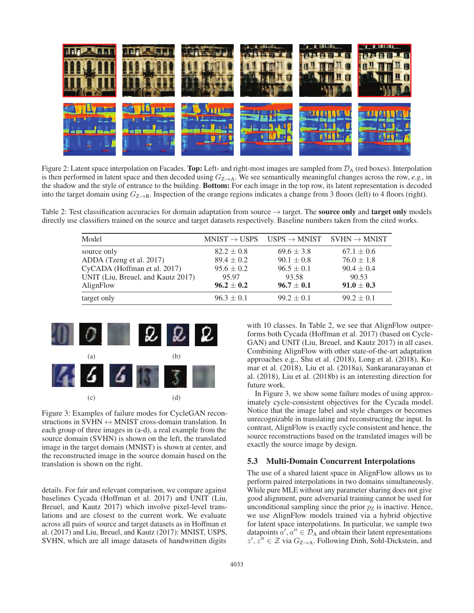

Figure 2: Latent space interpolation on Facades. Top: Left- and right-most images are sampled from  $\mathcal{D}_A$  (red boxes). Interpolation is then performed in latent space and then decoded using  $G_{\mathbb{Z}\to\mathbb{A}}$ . We see semantically meaningful changes across the row, *e.g.*, in the shadow and the style of entrance to the building. Bottom: For each image in the top row, its latent representation is decoded into the target domain using  $G_{Z\rightarrow B}$ . Inspection of the orange regions indicates a change from 3 floors (left) to 4 floors (right).

Table 2: Test classification accuracies for domain adaptation from source  $\rightarrow$  target. The **source only** and **target only** models directly use classifiers trained on the source and target datasets respectively. Baseline numbers taken from the cited works.

| Model                              |                | $MNIST \rightarrow USPS$ USPS $\rightarrow MNIST$ SVHN $\rightarrow MNIST$ |                |
|------------------------------------|----------------|----------------------------------------------------------------------------|----------------|
| source only                        | $82.2 \pm 0.8$ | $69.6 \pm 3.8$                                                             | $67.1 \pm 0.6$ |
| ADDA (Tzeng et al. 2017)           | $89.4 \pm 0.2$ | $90.1 \pm 0.8$                                                             | $76.0 \pm 1.8$ |
| CyCADA (Hoffman et al. 2017)       | $95.6 \pm 0.2$ | $96.5 \pm 0.1$                                                             | $90.4 \pm 0.4$ |
| UNIT (Liu, Breuel, and Kautz 2017) | 95.97          | 93.58                                                                      | 90.53          |
| AlignFlow                          | $96.2 \pm 0.2$ | $96.7 \pm 0.1$                                                             | $91.0 \pm 0.3$ |
| target only                        | $96.3 \pm 0.1$ | $99.2 \pm 0.1$                                                             | $99.2 \pm 0.1$ |



Figure 3: Examples of failure modes for CycleGAN reconstructions in SVHN  $\leftrightarrow$  MNIST cross-domain translation. In each group of three images in (a-d), a real example from the source domain (SVHN) is shown on the left, the translated image in the target domain (MNIST) is shown at center, and the reconstructed image in the source domain based on the translation is shown on the right.

details. For fair and relevant comparison, we compare against baselines Cycada (Hoffman et al. 2017) and UNIT (Liu, Breuel, and Kautz 2017) which involve pixel-level translations and are closest to the current work. We evaluate across all pairs of source and target datasets as in Hoffman et al. (2017) and Liu, Breuel, and Kautz (2017): MNIST, USPS, SVHN, which are all image datasets of handwritten digits

with 10 classes. In Table 2, we see that AlignFlow outperforms both Cycada (Hoffman et al. 2017) (based on Cycle-GAN) and UNIT (Liu, Breuel, and Kautz 2017) in all cases. Combining AlignFlow with other state-of-the-art adaptation approaches e.g., Shu et al. (2018), Long et al. (2018), Kumar et al. (2018), Liu et al. (2018a), Sankaranarayanan et al. (2018), Liu et al. (2018b) is an interesting direction for future work.

In Figure 3, we show some failure modes of using approximately cycle-consistent objectives for the Cycada model. Notice that the image label and style changes or becomes unrecognizable in translating and reconstructing the input. In contrast, AlignFlow is exactly cycle consistent and hence, the source reconstructions based on the translated images will be exactly the source image by design.

# 5.3 Multi-Domain Concurrent Interpolations

The use of a shared latent space in AlignFlow allows us to perform paired interpolations in two domains simultaneously. While pure MLE without any parameter sharing does not give good alignment, pure adversarial training cannot be used for unconditional sampling since the prior  $p_Z$  is inactive. Hence, we use AlignFlow models trained via a hybrid objective for latent space interpolations. In particular, we sample two datapoints  $a', a'' \in \mathcal{D}_A$  and obtain their latent representations  $z', z'' \in \mathcal{Z}$  via  $G_{\mathbb{Z} \to \mathbb{A}}$ . Following Dinh, Sohl-Dickstein, and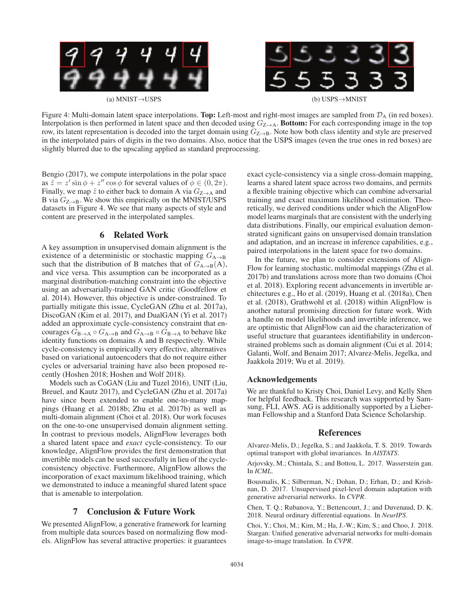

Figure 4: Multi-domain latent space interpolations. Top: Left-most and right-most images are sampled from  $\mathcal{D}_A$  (in red boxes). Interpolation is then performed in latent space and then decoded using  $G_{Z\to A}$ . Bottom: For each corresponding image in the top row, its latent representation is decoded into the target domain using  $G_{Z\rightarrow B}$ . Note how both class identity and style are preserved in the interpolated pairs of digits in the two domains. Also, notice that the USPS images (even the true ones in red boxes) are slightly blurred due to the upscaling applied as standard preprocessing.

Bengio (2017), we compute interpolations in the polar space as  $\tilde{z} = z' \sin \phi + z'' \cos \phi$  for several values of  $\phi \in (0, 2\pi)$ . Finally, we map  $\tilde{z}$  to either back to domain A via  $G_{Z\rightarrow A}$  and B via  $G_{\text{Z}\rightarrow\text{B}}$ . We show this empirically on the MNIST/USPS datasets in Figure 4. We see that many aspects of style and content are preserved in the interpolated samples.

# 6 Related Work

A key assumption in unsupervised domain alignment is the existence of a deterministic or stochastic mapping  $G_{A\rightarrow B}$ such that the distribution of B matches that of  $G_{A\rightarrow B}(A)$ , and vice versa. This assumption can be incorporated as a marginal distribution-matching constraint into the objective using an adversarially-trained GAN critic (Goodfellow et al. 2014). However, this objective is under-constrained. To partially mitigate this issue, CycleGAN (Zhu et al. 2017a), DiscoGAN (Kim et al. 2017), and DualGAN (Yi et al. 2017) added an approximate cycle-consistency constraint that encourages  $G_{\text{B}\rightarrow\text{A}} \circ G_{\text{A}\rightarrow\text{B}}$  and  $G_{\text{A}\rightarrow\text{B}} \circ G_{\text{B}\rightarrow\text{A}}$  to behave like identity functions on domains A and B respectively. While cycle-consistency is empirically very effective, alternatives based on variational autoencoders that do not require either cycles or adversarial training have also been proposed recently (Hoshen 2018; Hoshen and Wolf 2018).

Models such as CoGAN (Liu and Tuzel 2016), UNIT (Liu, Breuel, and Kautz 2017), and CycleGAN (Zhu et al. 2017a) have since been extended to enable one-to-many mappings (Huang et al. 2018b; Zhu et al. 2017b) as well as multi-domain alignment (Choi et al. 2018). Our work focuses on the one-to-one unsupervised domain alignment setting. In contrast to previous models, AlignFlow leverages both a shared latent space and *exact* cycle-consistency. To our knowledge, AlignFlow provides the first demonstration that invertible models can be used successfully in lieu of the cycleconsistency objective. Furthermore, AlignFlow allows the incorporation of exact maximum likelihood training, which we demonstrated to induce a meaningful shared latent space that is amenable to interpolation.

# 7 Conclusion & Future Work

We presented AlignFlow, a generative framework for learning from multiple data sources based on normalizing flow models. AlignFlow has several attractive properties: it guarantees

exact cycle-consistency via a single cross-domain mapping, learns a shared latent space across two domains, and permits a flexible training objective which can combine adversarial training and exact maximum likelihood estimation. Theoretically, we derived conditions under which the AlignFlow model learns marginals that are consistent with the underlying data distributions. Finally, our empirical evaluation demonstrated significant gains on unsupervised domain translation and adaptation, and an increase in inference capabilities, e.g., paired interpolations in the latent space for two domains.

In the future, we plan to consider extensions of Align-Flow for learning stochastic, multimodal mappings (Zhu et al. 2017b) and translations across more than two domains (Choi et al. 2018). Exploring recent advancements in invertible architectures e.g., Ho et al. (2019), Huang et al. (2018a), Chen et al. (2018), Grathwohl et al. (2018) within AlignFlow is another natural promising direction for future work. With a handle on model likelihoods and invertible inference, we are optimistic that AlignFlow can aid the characterization of useful structure that guarantees identifiability in underconstrained problems such as domain alignment (Cui et al. 2014; Galanti, Wolf, and Benaim 2017; Alvarez-Melis, Jegelka, and Jaakkola 2019; Wu et al. 2019).

#### Acknowledgements

We are thankful to Kristy Choi, Daniel Levy, and Kelly Shen for helpful feedback. This research was supported by Samsung, FLI, AWS. AG is additionally supported by a Lieberman Fellowship and a Stanford Data Science Scholarship.

## References

Alvarez-Melis, D.; Jegelka, S.; and Jaakkola, T. S. 2019. Towards optimal transport with global invariances. In *AISTATS*.

Arjovsky, M.; Chintala, S.; and Bottou, L. 2017. Wasserstein gan. In *ICML*.

Bousmalis, K.; Silberman, N.; Dohan, D.; Erhan, D.; and Krishnan, D. 2017. Unsupervised pixel-level domain adaptation with generative adversarial networks. In *CVPR*.

Chen, T. Q.; Rubanova, Y.; Bettencourt, J.; and Duvenaud, D. K. 2018. Neural ordinary differential equations. In *NeurIPS*.

Choi, Y.; Choi, M.; Kim, M.; Ha, J.-W.; Kim, S.; and Choo, J. 2018. Stargan: Unified generative adversarial networks for multi-domain image-to-image translation. In *CVPR*.